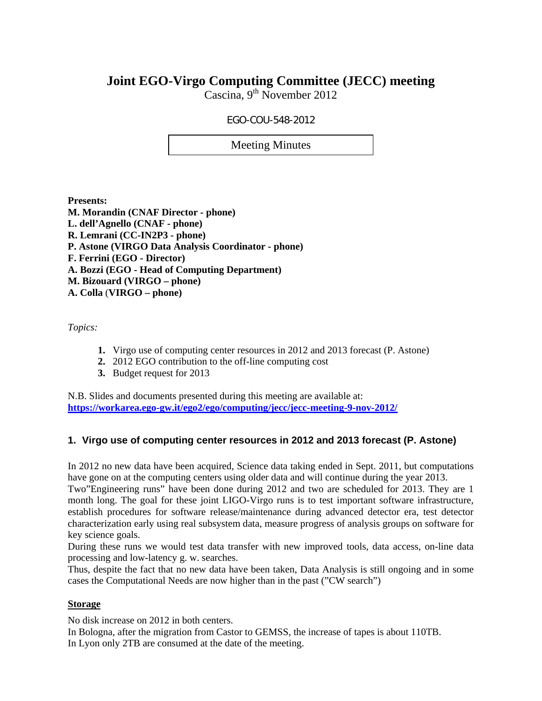# **Joint EGO-Virgo Computing Committee (JECC) meeting**

Cascina,  $9^{th}$  November 2012

## EGO-COU-548-2012

Meeting Minutes

**Presents: M. Morandin (CNAF Director - phone) L. dell'Agnello (CNAF - phone) R. Lemrani (CC-IN2P3 - phone) P. Astone (VIRGO Data Analysis Coordinator - phone) F. Ferrini (EGO - Director) A. Bozzi (EGO - Head of Computing Department) M. Bizouard (VIRGO – phone) A. Colla** (**VIRGO – phone)** 

*Topics:* 

- **1.** Virgo use of computing center resources in 2012 and 2013 forecast (P. Astone)
- **2.** 2012 EGO contribution to the off-line computing cost
- **3.** Budget request for 2013

N.B. Slides and documents presented during this meeting are available at: **https://workarea.ego-gw.it/ego2/ego/computing/jecc/jecc-meeting-9-nov-2012/**

# **1. Virgo use of computing center resources in 2012 and 2013 forecast (P. Astone)**

In 2012 no new data have been acquired, Science data taking ended in Sept. 2011, but computations have gone on at the computing centers using older data and will continue during the year 2013.

Two"Engineering runs" have been done during 2012 and two are scheduled for 2013. They are 1 month long. The goal for these joint LIGO-Virgo runs is to test important software infrastructure, establish procedures for software release/maintenance during advanced detector era, test detector characterization early using real subsystem data, measure progress of analysis groups on software for key science goals.

During these runs we would test data transfer with new improved tools, data access, on-line data processing and low-latency g. w. searches.

Thus, despite the fact that no new data have been taken, Data Analysis is still ongoing and in some cases the Computational Needs are now higher than in the past ("CW search")

#### **Storage**

No disk increase on 2012 in both centers.

In Bologna, after the migration from Castor to GEMSS, the increase of tapes is about 110TB. In Lyon only 2TB are consumed at the date of the meeting.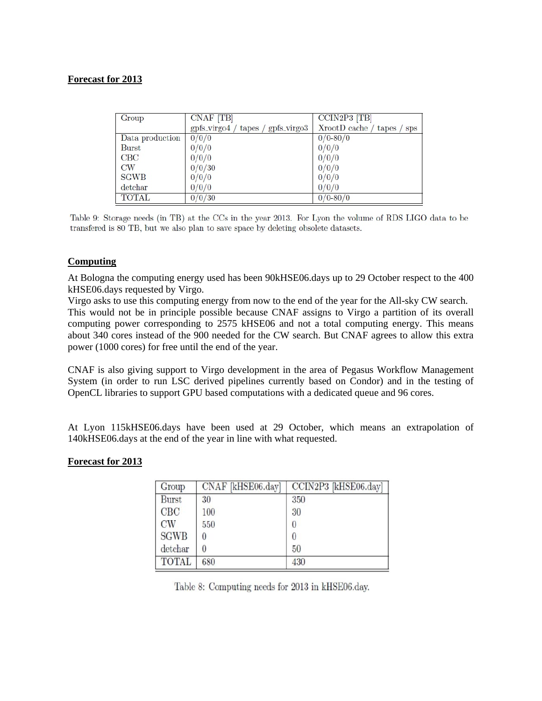#### **Forecast for 2013**

| Group           | CNAF [TB]                              | CCIN2P3 [TB]                         |  |  |  |  |
|-----------------|----------------------------------------|--------------------------------------|--|--|--|--|
|                 | $gpfs_virgo4 / tapes /$<br>gpfs_virgo3 | $XrootD$ cache / tapes<br><b>Sps</b> |  |  |  |  |
| Data production | 0/0/0                                  | $0/0 - 80/0$                         |  |  |  |  |
| <b>Burst</b>    | 0/0/0                                  | 0/0/0                                |  |  |  |  |
| CBC             | 0/0/0                                  | 0/0/0                                |  |  |  |  |
| CW              | 0/0/30                                 | 0/0/0                                |  |  |  |  |
| <b>SGWB</b>     | 0/0/0                                  | 0/0/0                                |  |  |  |  |
| detchar         | 0/0/0                                  | 0/0/0                                |  |  |  |  |
| <b>TOTAL</b>    | 0/0/30                                 | $0/0 - 80/0$                         |  |  |  |  |

Table 9: Storage needs (in TB) at the CCs in the year 2013. For Lyon the volume of RDS LIGO data to be transfered is 80 TB, but we also plan to save space by deleting obsolete datasets.

#### **Computing**

At Bologna the computing energy used has been 90kHSE06.days up to 29 October respect to the 400 kHSE06.days requested by Virgo.

Virgo asks to use this computing energy from now to the end of the year for the All-sky CW search. This would not be in principle possible because CNAF assigns to Virgo a partition of its overall computing power corresponding to 2575 kHSE06 and not a total computing energy. This means about 340 cores instead of the 900 needed for the CW search. But CNAF agrees to allow this extra power (1000 cores) for free until the end of the year.

CNAF is also giving support to Virgo development in the area of Pegasus Workflow Management System (in order to run LSC derived pipelines currently based on Condor) and in the testing of OpenCL libraries to support GPU based computations with a dedicated queue and 96 cores.

At Lyon 115kHSE06.days have been used at 29 October, which means an extrapolation of 140kHSE06.days at the end of the year in line with what requested.

#### **Forecast for 2013**

| Group        | CNAF [kHSE06.day] | CCIN2P3 [kHSE06.day] |
|--------------|-------------------|----------------------|
| <b>Burst</b> | 30                | 350                  |
| CBC          | 100               | 30                   |
| CW           | 550               | $\Omega$             |
| <b>SGWB</b>  | 0                 | 0                    |
| detchar      | 0                 | 50                   |
| <b>TOTAL</b> | 680               | 430                  |

Table 8: Computing needs for 2013 in kHSE06.day.